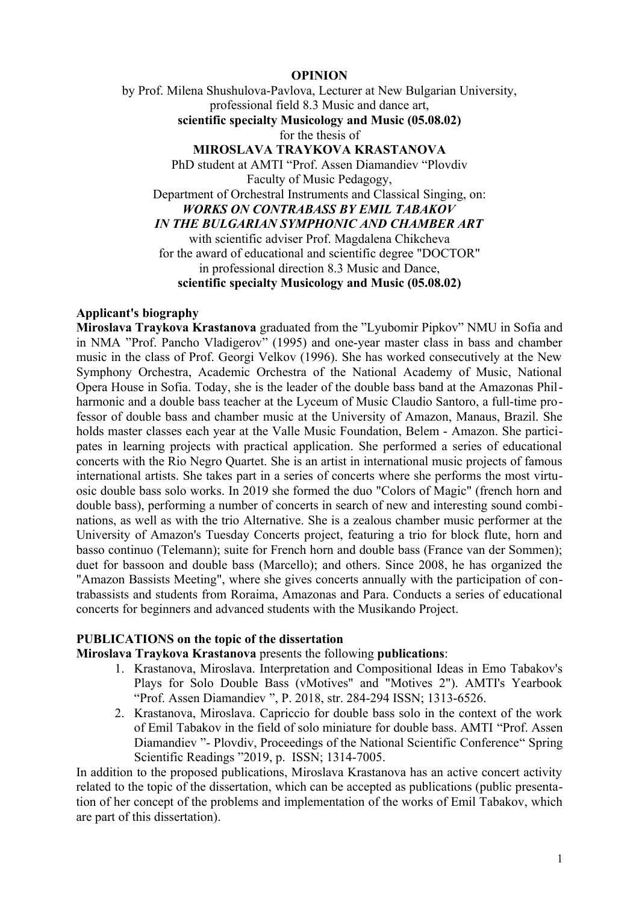### **OPINION**

by Prof. Milena Shushulova-Pavlova, Lecturer at New Bulgarian University, professional field 8.3 Music and dance art, **scientific specialty Musicology and Music (05.08.02)** for the thesis of **MIROSLAVA TRAYKOVA KRASTANOVA** PhD student at AMTI "Prof. Assen Diamandiev "Plovdiv Faculty of Music Pedagogy, Department of Orchestral Instruments and Classical Singing, on: *WORKS ON CONTRABASS BY EMIL TABAKOV IN THE BULGARIAN SYMPHONIC AND CHAMBER ART* with scientific adviser Prof. Magdalena Chikcheva for the award of educational and scientific degree "DOCTOR" in professional direction 8.3 Music and Dance, **scientific specialty Musicology and Music (05.08.02)**

### **Applicant's biography**

**Miroslava Traykova Krastanova** graduated from the "Lyubomir Pipkov" NMU in Sofia and in NMA "Prof. Pancho Vladigerov" (1995) and one-year master class in bass and chamber music in the class of Prof. Georgi Velkov (1996). She has worked consecutively at the New Symphony Orchestra, Academic Orchestra of the National Academy of Music, National Opera House in Sofia. Today, she is the leader of the double bass band at the Amazonas Philharmonic and a double bass teacher at the Lyceum of Music Claudio Santoro, a full-time professor of double bass and chamber music at the University of Amazon, Manaus, Brazil. She holds master classes each year at the Valle Music Foundation, Belem - Amazon. She participates in learning projects with practical application. She performed a series of educational concerts with the Rio Negro Quartet. She is an artist in international music projects of famous international artists. She takes part in a series of concerts where she performs the most virtuosic double bass solo works. In 2019 she formed the duo "Colors of Magic" (french horn and double bass), performing a number of concerts in search of new and interesting sound combinations, as well as with the trio Alternative. She is a zealous chamber music performer at the University of Amazon's Tuesday Concerts project, featuring a trio for block flute, horn and basso continuo (Telemann); suite for French horn and double bass (France van der Sommen); duet for bassoon and double bass (Marcello); and others. Since 2008, he has organized the "Amazon Bassists Meeting", where she gives concerts annually with the participation of contrabassists and students from Roraima, Amazonas and Para. Conducts a series of educational concerts for beginners and advanced students with the Musikando Project.

# **PUBLICATIONS on the topic of the dissertation**

### **Miroslava Traykova Krastanova** presents the following **publications**:

- 1. Krastanova, Miroslava. Interpretation and Compositional Ideas in Emo Tabakov's Plays for Solo Double Bass (vMotives" and "Motives 2"). AMTI's Yearbook "Prof. Assen Diamandiev ", P. 2018, str. 284-294 ISSN; 1313-6526.
- 2. Krastanova, Miroslava. Capriccio for double bass solo in the context of the work of Emil Tabakov in the field of solo miniature for double bass. AMTI "Prof. Assen Diamandiev "- Plovdiv, Proceedings of the National Scientific Conference" Spring Scientific Readings "2019, p. ISSN; 1314-7005.

In addition to the proposed publications, Miroslava Krastanova has an active concert activity related to the topic of the dissertation, which can be accepted as publications (public presentation of her concept of the problems and implementation of the works of Emil Tabakov, which are part of this dissertation).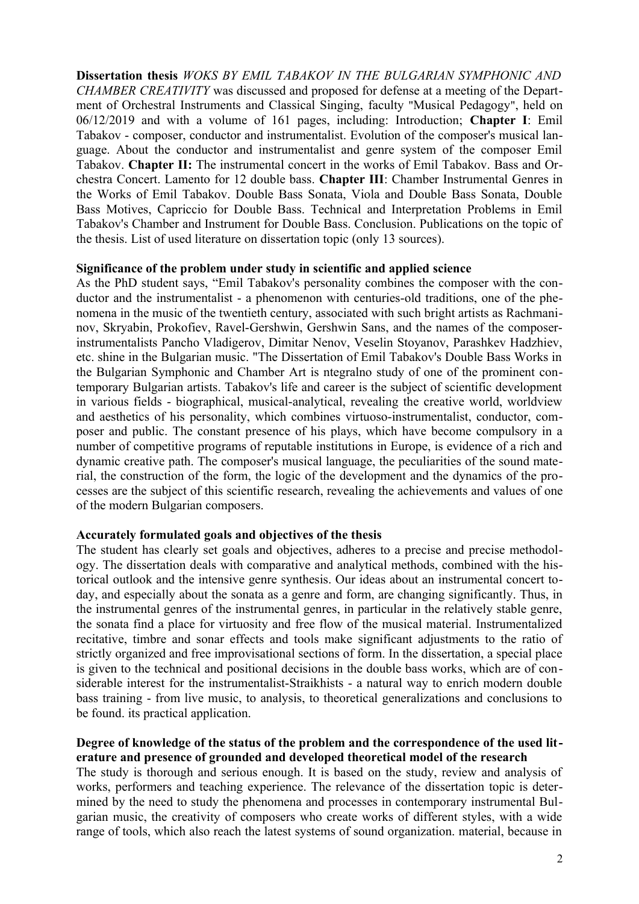**Dissertation thesis** *WOKS BY EMIL TABAKOV IN THE BULGARIAN SYMPHONIC AND CHAMBER CREATIVITY* was discussed and proposed for defense at a meeting of the Department of Orchestral Instruments and Classical Singing, faculty "Musical Pedagogy", held on 06/12/2019 and with a volume of 161 pages, including: Introduction; **Chapter I**: Emil Tabakov - composer, conductor and instrumentalist. Evolution of the composer's musical language. About the conductor and instrumentalist and genre system of the composer Emil Tabakov. **Chapter II:** The instrumental concert in the works of Emil Tabakov. Bass and Orchestra Concert. Lamento for 12 double bass. **Chapter III**: Chamber Instrumental Genres in the Works of Emil Tabakov. Double Bass Sonata, Viola and Double Bass Sonata, Double Bass Motives, Capriccio for Double Bass. Technical and Interpretation Problems in Emil Tabakov's Chamber and Instrument for Double Bass. Conclusion. Publications on the topic of the thesis. List of used literature on dissertation topic (only 13 sources).

#### **Significance of the problem under study in scientific and applied science**

As the PhD student says, "Emil Tabakov's personality combines the composer with the conductor and the instrumentalist - a phenomenon with centuries-old traditions, one of the phenomena in the music of the twentieth century, associated with such bright artists as Rachmaninov, Skryabin, Prokofiev, Ravel-Gershwin, Gershwin Sans, and the names of the composerinstrumentalists Pancho Vladigerov, Dimitar Nenov, Veselin Stoyanov, Parashkev Hadzhiev, etc. shine in the Bulgarian music. "The Dissertation of Emil Tabakov's Double Bass Works in the Bulgarian Symphonic and Chamber Art is ntegralno study of one of the prominent contemporary Bulgarian artists. Tabakov's life and career is the subject of scientific development in various fields - biographical, musical-analytical, revealing the creative world, worldview and aesthetics of his personality, which combines virtuoso-instrumentalist, conductor, composer and public. The constant presence of his plays, which have become compulsory in a number of competitive programs of reputable institutions in Europe, is evidence of a rich and dynamic creative path. The composer's musical language, the peculiarities of the sound material, the construction of the form, the logic of the development and the dynamics of the processes are the subject of this scientific research, revealing the achievements and values of one of the modern Bulgarian composers.

### **Accurately formulated goals and objectives of the thesis**

The student has clearly set goals and objectives, adheres to a precise and precise methodology. The dissertation deals with comparative and analytical methods, combined with the historical outlook and the intensive genre synthesis. Our ideas about an instrumental concert today, and especially about the sonata as a genre and form, are changing significantly. Thus, in the instrumental genres of the instrumental genres, in particular in the relatively stable genre, the sonata find a place for virtuosity and free flow of the musical material. Instrumentalized recitative, timbre and sonar effects and tools make significant adjustments to the ratio of strictly organized and free improvisational sections of form. In the dissertation, a special place is given to the technical and positional decisions in the double bass works, which are of considerable interest for the instrumentalist-Straikhists - a natural way to enrich modern double bass training - from live music, to analysis, to theoretical generalizations and conclusions to be found. its practical application.

### **Degree of knowledge of the status of the problem and the correspondence of the used literature and presence of grounded and developed theoretical model of the research**

The study is thorough and serious enough. It is based on the study, review and analysis of works, performers and teaching experience. The relevance of the dissertation topic is determined by the need to study the phenomena and processes in contemporary instrumental Bulgarian music, the creativity of composers who create works of different styles, with a wide range of tools, which also reach the latest systems of sound organization. material, because in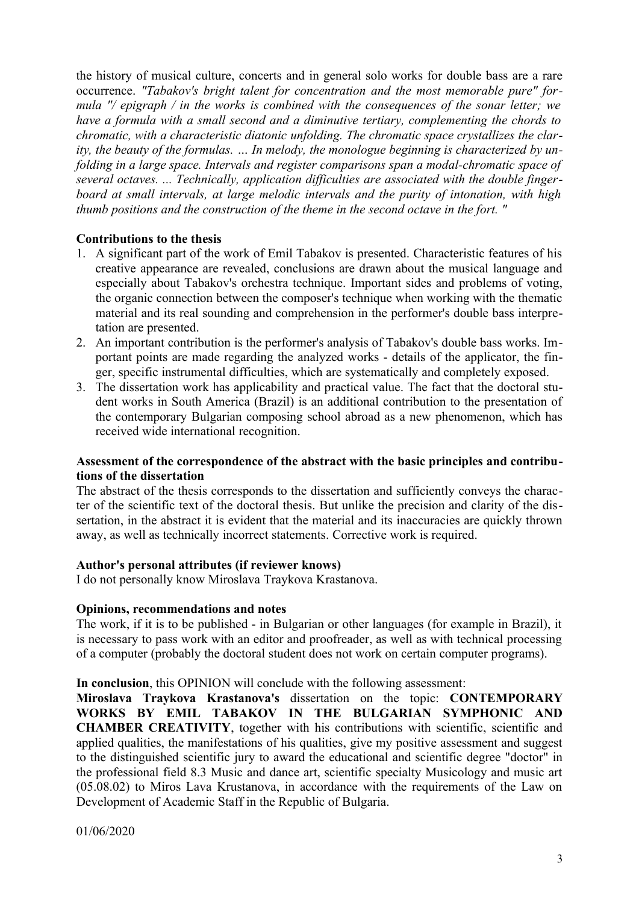the history of musical culture, concerts and in general solo works for double bass are a rare occurrence. *"Tabakov's bright talent for concentration and the most memorable pure" formula "/ epigraph / in the works is combined with the consequences of the sonar letter; we have a formula with a small second and a diminutive tertiary, complementing the chords to chromatic, with a characteristic diatonic unfolding. The chromatic space crystallizes the clarity, the beauty of the formulas. … In melody, the monologue beginning is characterized by unfolding in a large space. Intervals and register comparisons span a modal-chromatic space of several octaves. ... Technically, application difficulties are associated with the double fingerboard at small intervals, at large melodic intervals and the purity of intonation, with high thumb positions and the construction of the theme in the second octave in the fort. "*

# **Contributions to the thesis**

- 1. A significant part of the work of Emil Tabakov is presented. Characteristic features of his creative appearance are revealed, conclusions are drawn about the musical language and especially about Tabakov's orchestra technique. Important sides and problems of voting, the organic connection between the composer's technique when working with the thematic material and its real sounding and comprehension in the performer's double bass interpretation are presented.
- 2. An important contribution is the performer's analysis of Tabakov's double bass works. Important points are made regarding the analyzed works - details of the applicator, the finger, specific instrumental difficulties, which are systematically and completely exposed.
- 3. The dissertation work has applicability and practical value. The fact that the doctoral student works in South America (Brazil) is an additional contribution to the presentation of the contemporary Bulgarian composing school abroad as a new phenomenon, which has received wide international recognition.

### **Assessment of the correspondence of the abstract with the basic principles and contributions of the dissertation**

The abstract of the thesis corresponds to the dissertation and sufficiently conveys the character of the scientific text of the doctoral thesis. But unlike the precision and clarity of the dissertation, in the abstract it is evident that the material and its inaccuracies are quickly thrown away, as well as technically incorrect statements. Corrective work is required.

### **Author's personal attributes (if reviewer knows)**

I do not personally know Miroslava Traykova Krastanova.

### **Opinions, recommendations and notes**

The work, if it is to be published - in Bulgarian or other languages (for example in Brazil), it is necessary to pass work with an editor and proofreader, as well as with technical processing of a computer (probably the doctoral student does not work on certain computer programs).

#### **In conclusion**, this OPINION will conclude with the following assessment:

**Miroslava Traykova Krastanova's** dissertation on the topic: **CONTEMPORARY WORKS BY EMIL TABAKOV IN THE BULGARIAN SYMPHONIC AND CHAMBER CREATIVITY**, together with his contributions with scientific, scientific and applied qualities, the manifestations of his qualities, give my positive assessment and suggest to the distinguished scientific jury to award the educational and scientific degree "doctor" in the professional field 8.3 Music and dance art, scientific specialty Musicology and music art (05.08.02) to Miros Lava Krustanova, in accordance with the requirements of the Law on Development of Academic Staff in the Republic of Bulgaria.